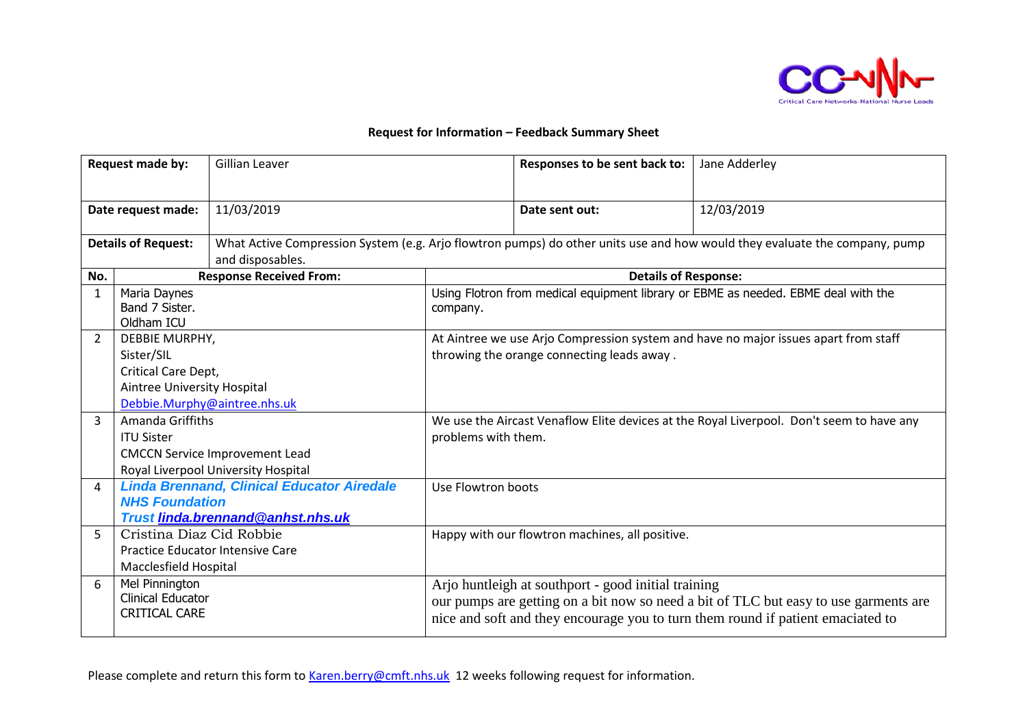

## **Request for Information – Feedback Summary Sheet**

| Request made by:           |                                                                    | Gillian Leaver                                                                                                                                 |                                                                                          | Responses to be sent back to:                                                                  | Jane Adderley                                                                                                                                                           |  |
|----------------------------|--------------------------------------------------------------------|------------------------------------------------------------------------------------------------------------------------------------------------|------------------------------------------------------------------------------------------|------------------------------------------------------------------------------------------------|-------------------------------------------------------------------------------------------------------------------------------------------------------------------------|--|
| Date request made:         |                                                                    | 11/03/2019                                                                                                                                     |                                                                                          | Date sent out:                                                                                 | 12/03/2019                                                                                                                                                              |  |
| <b>Details of Request:</b> |                                                                    | What Active Compression System (e.g. Arjo flowtron pumps) do other units use and how would they evaluate the company, pump<br>and disposables. |                                                                                          |                                                                                                |                                                                                                                                                                         |  |
| No.                        | <b>Response Received From:</b>                                     |                                                                                                                                                | <b>Details of Response:</b>                                                              |                                                                                                |                                                                                                                                                                         |  |
| $\mathbf{1}$               | Maria Daynes<br>Band 7 Sister.<br>Oldham ICU                       |                                                                                                                                                |                                                                                          | Using Flotron from medical equipment library or EBME as needed. EBME deal with the<br>company. |                                                                                                                                                                         |  |
| 2                          | DEBBIE MURPHY,                                                     |                                                                                                                                                | At Aintree we use Arjo Compression system and have no major issues apart from staff      |                                                                                                |                                                                                                                                                                         |  |
|                            | Sister/SIL                                                         |                                                                                                                                                | throwing the orange connecting leads away.                                               |                                                                                                |                                                                                                                                                                         |  |
|                            | Critical Care Dept,                                                |                                                                                                                                                |                                                                                          |                                                                                                |                                                                                                                                                                         |  |
|                            | Aintree University Hospital                                        |                                                                                                                                                |                                                                                          |                                                                                                |                                                                                                                                                                         |  |
|                            |                                                                    | Debbie.Murphy@aintree.nhs.uk                                                                                                                   |                                                                                          |                                                                                                |                                                                                                                                                                         |  |
| $\mathbf{R}$               | Amanda Griffiths                                                   |                                                                                                                                                | We use the Aircast Venaflow Elite devices at the Royal Liverpool. Don't seem to have any |                                                                                                |                                                                                                                                                                         |  |
|                            | <b>ITU Sister</b>                                                  |                                                                                                                                                | problems with them.                                                                      |                                                                                                |                                                                                                                                                                         |  |
|                            |                                                                    | <b>CMCCN Service Improvement Lead</b>                                                                                                          |                                                                                          |                                                                                                |                                                                                                                                                                         |  |
|                            |                                                                    | Royal Liverpool University Hospital                                                                                                            |                                                                                          |                                                                                                |                                                                                                                                                                         |  |
| 4                          | <b>Linda Brennand, Clinical Educator Airedale</b>                  |                                                                                                                                                | Use Flowtron boots                                                                       |                                                                                                |                                                                                                                                                                         |  |
|                            | <b>NHS Foundation</b>                                              |                                                                                                                                                |                                                                                          |                                                                                                |                                                                                                                                                                         |  |
|                            |                                                                    | <b>Trust linda.brennand@anhst.nhs.uk</b>                                                                                                       |                                                                                          |                                                                                                |                                                                                                                                                                         |  |
| 5                          | Cristina Diaz Cid Robbie                                           |                                                                                                                                                | Happy with our flowtron machines, all positive.                                          |                                                                                                |                                                                                                                                                                         |  |
|                            |                                                                    | <b>Practice Educator Intensive Care</b>                                                                                                        |                                                                                          |                                                                                                |                                                                                                                                                                         |  |
|                            | Macclesfield Hospital                                              |                                                                                                                                                |                                                                                          |                                                                                                |                                                                                                                                                                         |  |
| 6                          | Mel Pinnington<br><b>Clinical Educator</b><br><b>CRITICAL CARE</b> |                                                                                                                                                |                                                                                          | Arjo huntleigh at southport - good initial training                                            | our pumps are getting on a bit now so need a bit of TLC but easy to use garments are<br>nice and soft and they encourage you to turn them round if patient emaciated to |  |

Please complete and return this form to [Karen.berry@cmft.nhs.uk](mailto:Karen.berry@cmft.nhs.uk) 12 weeks following request for information.